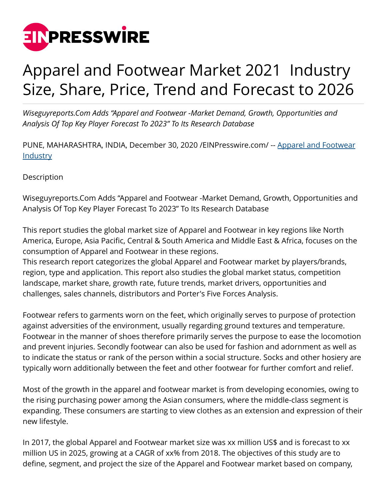

## Apparel and Footwear Market 2021 Industry Size, Share, Price, Trend and Forecast to 2026

*Wiseguyreports.Com Adds "Apparel and Footwear -Market Demand, Growth, Opportunities and Analysis Of Top Key Player Forecast To 2023" To Its Research Database*

PUNE, MAHARASHTRA, INDIA, December 30, 2020 /[EINPresswire.com/](http://www.einpresswire.com) -- [Apparel and Footwear](https://www.wiseguyreports.com/sample-request/3412378-global-apparel-and-footwear-market-insights-forecast-to-2025) **[Industry](https://www.wiseguyreports.com/sample-request/3412378-global-apparel-and-footwear-market-insights-forecast-to-2025)** 

Description

Wiseguyreports.Com Adds "Apparel and Footwear -Market Demand, Growth, Opportunities and Analysis Of Top Key Player Forecast To 2023" To Its Research Database

This report studies the global market size of Apparel and Footwear in key regions like North America, Europe, Asia Pacific, Central & South America and Middle East & Africa, focuses on the consumption of Apparel and Footwear in these regions.

This research report categorizes the global Apparel and Footwear market by players/brands, region, type and application. This report also studies the global market status, competition landscape, market share, growth rate, future trends, market drivers, opportunities and challenges, sales channels, distributors and Porter's Five Forces Analysis.

Footwear refers to garments worn on the feet, which originally serves to purpose of protection against adversities of the environment, usually regarding ground textures and temperature. Footwear in the manner of shoes therefore primarily serves the purpose to ease the locomotion and prevent injuries. Secondly footwear can also be used for fashion and adornment as well as to indicate the status or rank of the person within a social structure. Socks and other hosiery are typically worn additionally between the feet and other footwear for further comfort and relief.

Most of the growth in the apparel and footwear market is from developing economies, owing to the rising purchasing power among the Asian consumers, where the middle-class segment is expanding. These consumers are starting to view clothes as an extension and expression of their new lifestyle.

In 2017, the global Apparel and Footwear market size was xx million US\$ and is forecast to xx million US in 2025, growing at a CAGR of xx% from 2018. The objectives of this study are to define, segment, and project the size of the Apparel and Footwear market based on company,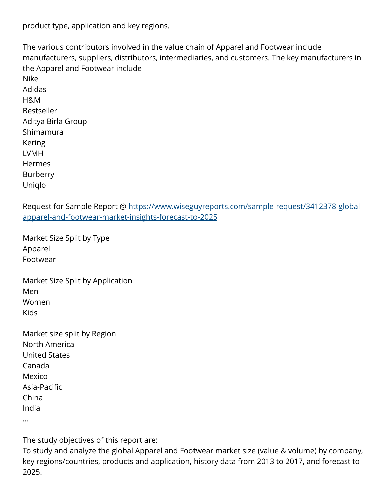product type, application and key regions.

The various contributors involved in the value chain of Apparel and Footwear include manufacturers, suppliers, distributors, intermediaries, and customers. The key manufacturers in the Apparel and Footwear include Nike Adidas H&M Bestseller Aditya Birla Group Shimamura Kering LVMH **Hermes** Burberry Uniqlo

Request for Sample Report @ [https://www.wiseguyreports.com/sample-request/3412378-global](https://www.wiseguyreports.com/sample-request/3412378-global-apparel-and-footwear-market-insights-forecast-to-2025)[apparel-and-footwear-market-insights-forecast-to-2025](https://www.wiseguyreports.com/sample-request/3412378-global-apparel-and-footwear-market-insights-forecast-to-2025)

Market Size Split by Type Apparel Footwear

Market Size Split by Application Men Women Kids

Market size split by Region North America United States Canada Mexico Asia-Pacific China India ...

The study objectives of this report are:

To study and analyze the global Apparel and Footwear market size (value & volume) by company, key regions/countries, products and application, history data from 2013 to 2017, and forecast to 2025.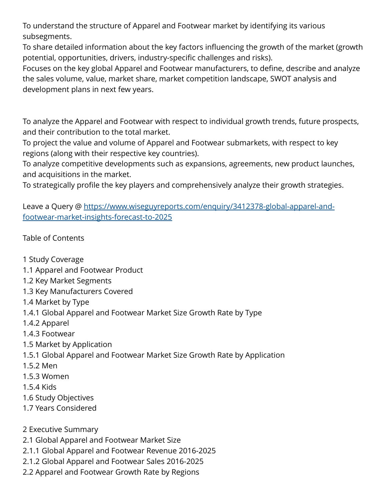To understand the structure of Apparel and Footwear market by identifying its various subsegments.

To share detailed information about the key factors influencing the growth of the market (growth potential, opportunities, drivers, industry-specific challenges and risks).

Focuses on the key global Apparel and Footwear manufacturers, to define, describe and analyze the sales volume, value, market share, market competition landscape, SWOT analysis and development plans in next few years.

To analyze the Apparel and Footwear with respect to individual growth trends, future prospects, and their contribution to the total market.

To project the value and volume of Apparel and Footwear submarkets, with respect to key regions (along with their respective key countries).

To analyze competitive developments such as expansions, agreements, new product launches, and acquisitions in the market.

To strategically profile the key players and comprehensively analyze their growth strategies.

Leave a Query @ [https://www.wiseguyreports.com/enquiry/3412378-global-apparel-and](https://www.wiseguyreports.com/enquiry/3412378-global-apparel-and-footwear-market-insights-forecast-to-2025)[footwear-market-insights-forecast-to-2025](https://www.wiseguyreports.com/enquiry/3412378-global-apparel-and-footwear-market-insights-forecast-to-2025)

Table of Contents

- 1 Study Coverage
- 1.1 Apparel and Footwear Product
- 1.2 Key Market Segments
- 1.3 Key Manufacturers Covered
- 1.4 Market by Type
- 1.4.1 Global Apparel and Footwear Market Size Growth Rate by Type
- 1.4.2 Apparel
- 1.4.3 Footwear
- 1.5 Market by Application
- 1.5.1 Global Apparel and Footwear Market Size Growth Rate by Application
- 1.5.2 Men
- 1.5.3 Women
- 1.5.4 Kids
- 1.6 Study Objectives
- 1.7 Years Considered
- 2 Executive Summary
- 2.1 Global Apparel and Footwear Market Size
- 2.1.1 Global Apparel and Footwear Revenue 2016-2025
- 2.1.2 Global Apparel and Footwear Sales 2016-2025
- 2.2 Apparel and Footwear Growth Rate by Regions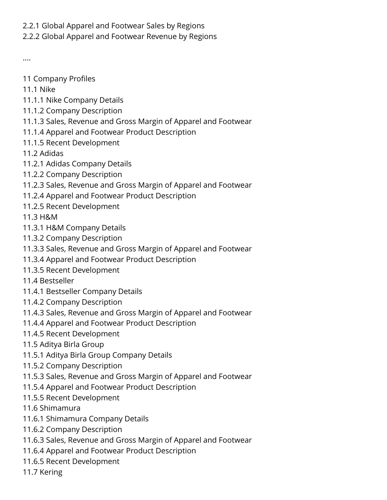## 2.2.1 Global Apparel and Footwear Sales by Regions

## 2.2.2 Global Apparel and Footwear Revenue by Regions

....

- 11 Company Profiles
- 11.1 Nike
- 11.1.1 Nike Company Details
- 11.1.2 Company Description
- 11.1.3 Sales, Revenue and Gross Margin of Apparel and Footwear
- 11.1.4 Apparel and Footwear Product Description
- 11.1.5 Recent Development
- 11.2 Adidas
- 11.2.1 Adidas Company Details
- 11.2.2 Company Description
- 11.2.3 Sales, Revenue and Gross Margin of Apparel and Footwear
- 11.2.4 Apparel and Footwear Product Description
- 11.2.5 Recent Development
- 11.3 H&M
- 11.3.1 H&M Company Details
- 11.3.2 Company Description
- 11.3.3 Sales, Revenue and Gross Margin of Apparel and Footwear
- 11.3.4 Apparel and Footwear Product Description
- 11.3.5 Recent Development
- 11.4 Bestseller
- 11.4.1 Bestseller Company Details
- 11.4.2 Company Description
- 11.4.3 Sales, Revenue and Gross Margin of Apparel and Footwear
- 11.4.4 Apparel and Footwear Product Description
- 11.4.5 Recent Development
- 11.5 Aditya Birla Group
- 11.5.1 Aditya Birla Group Company Details
- 11.5.2 Company Description
- 11.5.3 Sales, Revenue and Gross Margin of Apparel and Footwear
- 11.5.4 Apparel and Footwear Product Description
- 11.5.5 Recent Development
- 11.6 Shimamura
- 11.6.1 Shimamura Company Details
- 11.6.2 Company Description
- 11.6.3 Sales, Revenue and Gross Margin of Apparel and Footwear
- 11.6.4 Apparel and Footwear Product Description
- 11.6.5 Recent Development
- 11.7 Kering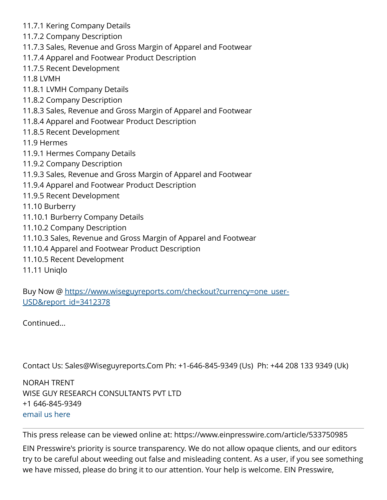- 11.7.1 Kering Company Details
- 11.7.2 Company Description
- 11.7.3 Sales, Revenue and Gross Margin of Apparel and Footwear
- 11.7.4 Apparel and Footwear Product Description
- 11.7.5 Recent Development
- 11.8 LVMH
- 11.8.1 LVMH Company Details
- 11.8.2 Company Description
- 11.8.3 Sales, Revenue and Gross Margin of Apparel and Footwear
- 11.8.4 Apparel and Footwear Product Description
- 11.8.5 Recent Development
- 11.9 Hermes
- 11.9.1 Hermes Company Details
- 11.9.2 Company Description
- 11.9.3 Sales, Revenue and Gross Margin of Apparel and Footwear
- 11.9.4 Apparel and Footwear Product Description
- 11.9.5 Recent Development
- 11.10 Burberry
- 11.10.1 Burberry Company Details
- 11.10.2 Company Description
- 11.10.3 Sales, Revenue and Gross Margin of Apparel and Footwear
- 11.10.4 Apparel and Footwear Product Description
- 11.10.5 Recent Development
- 11.11 Uniqlo

Buy Now @ [https://www.wiseguyreports.com/checkout?currency=one\\_user-](https://www.wiseguyreports.com/checkout?currency=one_user-USD&report_id=3412378)[USD&report\\_id=3412378](https://www.wiseguyreports.com/checkout?currency=one_user-USD&report_id=3412378)

Continued...

Contact Us: Sales@Wiseguyreports.Com Ph: +1-646-845-9349 (Us) Ph: +44 208 133 9349 (Uk)

NORAH TRENT WISE GUY RESEARCH CONSULTANTS PVT LTD +1 646-845-9349 [email us here](http://www.einpresswire.com/contact_author/3000203)

This press release can be viewed online at: <https://www.einpresswire.com/article/533750985>

EIN Presswire's priority is source transparency. We do not allow opaque clients, and our editors try to be careful about weeding out false and misleading content. As a user, if you see something we have missed, please do bring it to our attention. Your help is welcome. EIN Presswire,